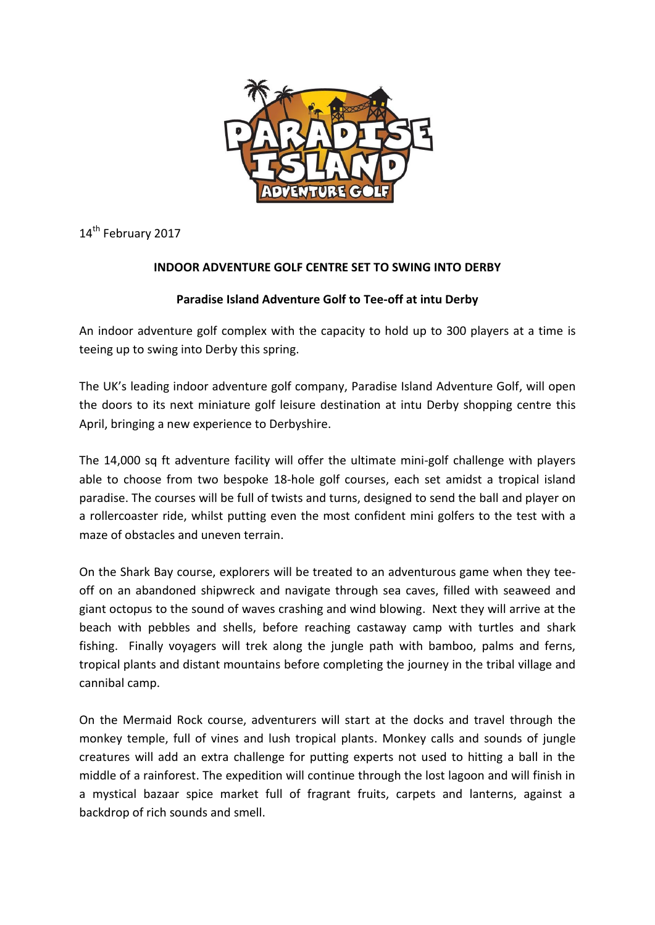

14<sup>th</sup> February 2017

## **INDOOR ADVENTURE GOLF CENTRE SET TO SWING INTO DERBY**

## **Paradise Island Adventure Golf to Tee-off at intu Derby**

An indoor adventure golf complex with the capacity to hold up to 300 players at a time is teeing up to swing into Derby this spring.

The UK's leading indoor adventure golf company, Paradise Island Adventure Golf, will open the doors to its next miniature golf leisure destination at intu Derby shopping centre this April, bringing a new experience to Derbyshire.

The 14,000 sq ft adventure facility will offer the ultimate mini-golf challenge with players able to choose from two bespoke 18-hole golf courses, each set amidst a tropical island paradise. The courses will be full of twists and turns, designed to send the ball and player on a rollercoaster ride, whilst putting even the most confident mini golfers to the test with a maze of obstacles and uneven terrain.

On the Shark Bay course, explorers will be treated to an adventurous game when they teeoff on an abandoned shipwreck and navigate through sea caves, filled with seaweed and giant octopus to the sound of waves crashing and wind blowing. Next they will arrive at the beach with pebbles and shells, before reaching castaway camp with turtles and shark fishing. Finally voyagers will trek along the jungle path with bamboo, palms and ferns, tropical plants and distant mountains before completing the journey in the tribal village and cannibal camp.

On the Mermaid Rock course, adventurers will start at the docks and travel through the monkey temple, full of vines and lush tropical plants. Monkey calls and sounds of jungle creatures will add an extra challenge for putting experts not used to hitting a ball in the middle of a rainforest. The expedition will continue through the lost lagoon and will finish in a mystical bazaar spice market full of fragrant fruits, carpets and lanterns, against a backdrop of rich sounds and smell.